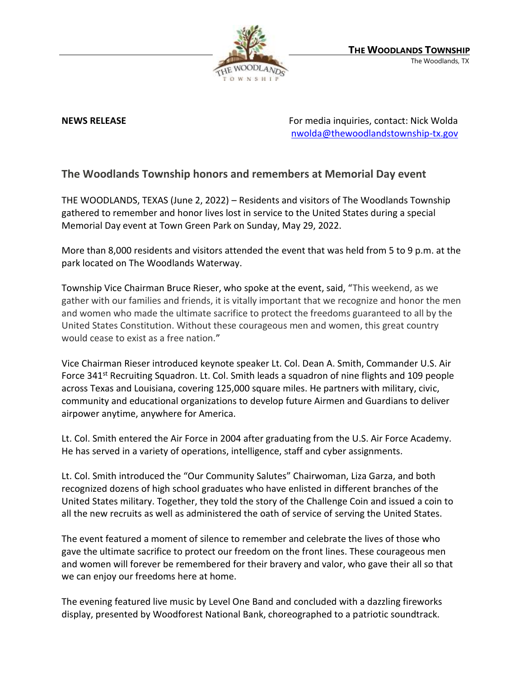

**NEWS RELEASE** For media inquiries, contact: Nick Wolda **NEWS** RELEASE [nwolda@thewoodlandstownship-tx.gov](mailto:nwolda@thewoodlandstownship-tx.gov)

## **The Woodlands Township honors and remembers at Memorial Day event**

THE WOODLANDS, TEXAS (June 2, 2022) – Residents and visitors of The Woodlands Township gathered to remember and honor lives lost in service to the United States during a special Memorial Day event at Town Green Park on Sunday, May 29, 2022.

More than 8,000 residents and visitors attended the event that was held from 5 to 9 p.m. at the park located on The Woodlands Waterway.

Township Vice Chairman Bruce Rieser, who spoke at the event, said, "This weekend, as we gather with our families and friends, it is vitally important that we recognize and honor the men and women who made the ultimate sacrifice to protect the freedoms guaranteed to all by the United States Constitution. Without these courageous men and women, this great country would cease to exist as a free nation."

Vice Chairman Rieser introduced keynote speaker Lt. Col. Dean A. Smith, Commander U.S. Air Force 341<sup>st</sup> Recruiting Squadron. Lt. Col. Smith leads a squadron of nine flights and 109 people across Texas and Louisiana, covering 125,000 square miles. He partners with military, civic, community and educational organizations to develop future Airmen and Guardians to deliver airpower anytime, anywhere for America.

Lt. Col. Smith entered the Air Force in 2004 after graduating from the U.S. Air Force Academy. He has served in a variety of operations, intelligence, staff and cyber assignments.

Lt. Col. Smith introduced the "Our Community Salutes" Chairwoman, Liza Garza, and both recognized dozens of high school graduates who have enlisted in different branches of the United States military. Together, they told the story of the Challenge Coin and issued a coin to all the new recruits as well as administered the oath of service of serving the United States.

The event featured a moment of silence to remember and celebrate the lives of those who gave the ultimate sacrifice to protect our freedom on the front lines. These courageous men and women will forever be remembered for their bravery and valor, who gave their all so that we can enjoy our freedoms here at home.

The evening featured live music by Level One Band and concluded with a dazzling fireworks display, presented by Woodforest National Bank, choreographed to a patriotic soundtrack.